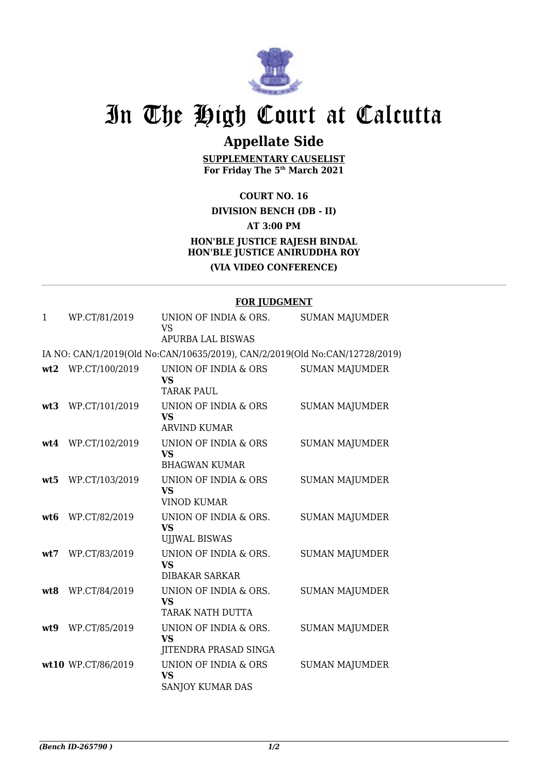

# In The High Court at Calcutta

## **Appellate Side**

**SUPPLEMENTARY CAUSELIST For Friday The 5th March 2021**

**COURT NO. 16**

#### **DIVISION BENCH (DB - II)**

**AT 3:00 PM**

### **HON'BLE JUSTICE RAJESH BINDAL HON'BLE JUSTICE ANIRUDDHA ROY (VIA VIDEO CONFERENCE)**

#### **FOR JUDGMENT**

| 1               | WP.CT/81/2019      | UNION OF INDIA & ORS.<br><b>VS</b>                                          | <b>SUMAN MAJUMDER</b> |
|-----------------|--------------------|-----------------------------------------------------------------------------|-----------------------|
|                 |                    | <b>APURBA LAL BISWAS</b>                                                    |                       |
|                 |                    | IA NO: CAN/1/2019(Old No:CAN/10635/2019), CAN/2/2019(Old No:CAN/12728/2019) |                       |
|                 | wt2 WP.CT/100/2019 | UNION OF INDIA & ORS<br><b>VS</b><br><b>TARAK PAUL</b>                      | <b>SUMAN MAJUMDER</b> |
| wt3             | WP.CT/101/2019     | UNION OF INDIA & ORS<br><b>VS</b><br><b>ARVIND KUMAR</b>                    | <b>SUMAN MAJUMDER</b> |
| wt4             | WP.CT/102/2019     | UNION OF INDIA & ORS<br><b>VS</b><br><b>BHAGWAN KUMAR</b>                   | <b>SUMAN MAJUMDER</b> |
| wt5             | WP.CT/103/2019     | UNION OF INDIA & ORS<br><b>VS</b><br><b>VINOD KUMAR</b>                     | <b>SUMAN MAJUMDER</b> |
| wt <sub>6</sub> | WP.CT/82/2019      | UNION OF INDIA & ORS.<br><b>VS</b><br><b>UJJWAL BISWAS</b>                  | <b>SUMAN MAJUMDER</b> |
| wt.7            | WP.CT/83/2019      | UNION OF INDIA & ORS.<br><b>VS</b><br><b>DIBAKAR SARKAR</b>                 | <b>SUMAN MAJUMDER</b> |
| wt8             | WP.CT/84/2019      | UNION OF INDIA & ORS.<br><b>VS</b><br>TARAK NATH DUTTA                      | <b>SUMAN MAJUMDER</b> |
| wt9             | WP.CT/85/2019      | UNION OF INDIA & ORS.<br><b>VS</b><br>JITENDRA PRASAD SINGA                 | <b>SUMAN MAJUMDER</b> |
|                 | wt10 WP.CT/86/2019 | <b>UNION OF INDIA &amp; ORS</b><br><b>VS</b><br>SANJOY KUMAR DAS            | <b>SUMAN MAJUMDER</b> |